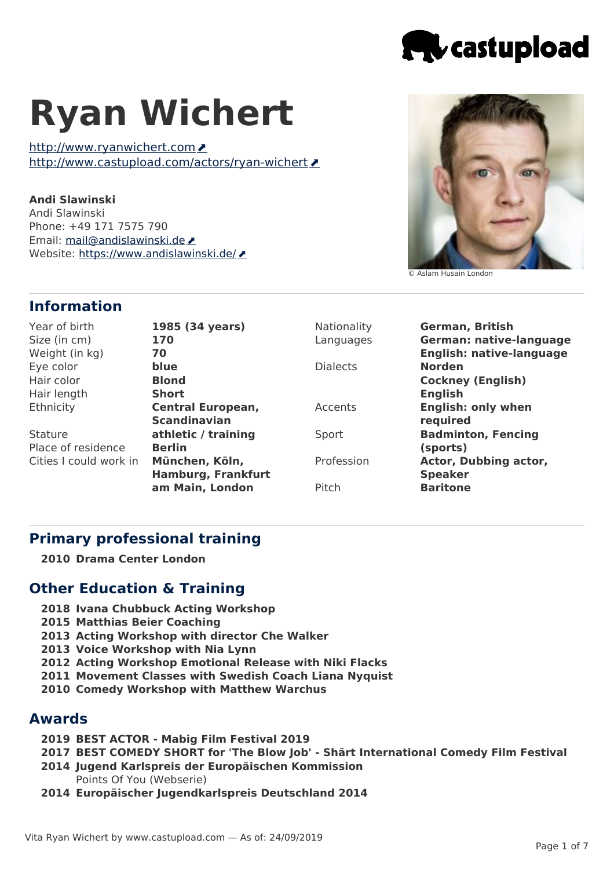

# **Ryan Wichert**

http://www.ryanwichert.com http://www.castupload.com/actors/rvan-wichert

**Andi Slawinski** Andi Slawinski Phone: +49 171 7575 790 Email: [mail@andislawinski.de](mailto:mail@andislawinski.de) ♪ Website: <https://www.andislawinski.de/>

© Aslam Husain London

## **Information**

| Year of birth          | 1985 (34 years)           | Nationality     | <b>German, British</b>          |
|------------------------|---------------------------|-----------------|---------------------------------|
| Size (in cm)           | 170                       | Languages       | <b>German: native-language</b>  |
| Weight (in kg)         | 70                        |                 | <b>English: native-language</b> |
| Eye color              | blue                      | <b>Dialects</b> | <b>Norden</b>                   |
| Hair color             | <b>Blond</b>              |                 | <b>Cockney (English)</b>        |
| Hair length            | <b>Short</b>              |                 | <b>English</b>                  |
| Ethnicity              | <b>Central European,</b>  | Accents         | <b>English: only when</b>       |
|                        | <b>Scandinavian</b>       |                 | required                        |
| <b>Stature</b>         | athletic / training       | Sport           | <b>Badminton, Fencing</b>       |
| Place of residence     | <b>Berlin</b>             |                 | (sports)                        |
| Cities I could work in | München, Köln,            | Profession      | Actor, Dubbing actor,           |
|                        | <b>Hamburg, Frankfurt</b> |                 | <b>Speaker</b>                  |
|                        | am Main, London           | Pitch           | <b>Baritone</b>                 |
|                        |                           |                 |                                 |

## **Primary professional training**

**2010 Drama Center London**

## **Other Education & Training**

- **2018 Ivana Chubbuck Acting Workshop**
- **2015 Matthias Beier Coaching**
- **2013 Acting Workshop with director Che Walker**
- **2013 Voice Workshop with Nia Lynn**
- **2012 Acting Workshop Emotional Release with Niki Flacks**
- **2011 Movement Classes with Swedish Coach Liana Nyquist**
- **2010 Comedy Workshop with Matthew Warchus**

#### **Awards**

- **2019 BEST ACTOR - Mabig Film Festival 2019**
- **2017 BEST COMEDY SHORT for 'The Blow Job' - Shärt International Comedy Film Festival**
- **2014 Jugend Karlspreis der Europäischen Kommission** Points Of You (Webserie)
- **2014 Europäischer Jugendkarlspreis Deutschland 2014**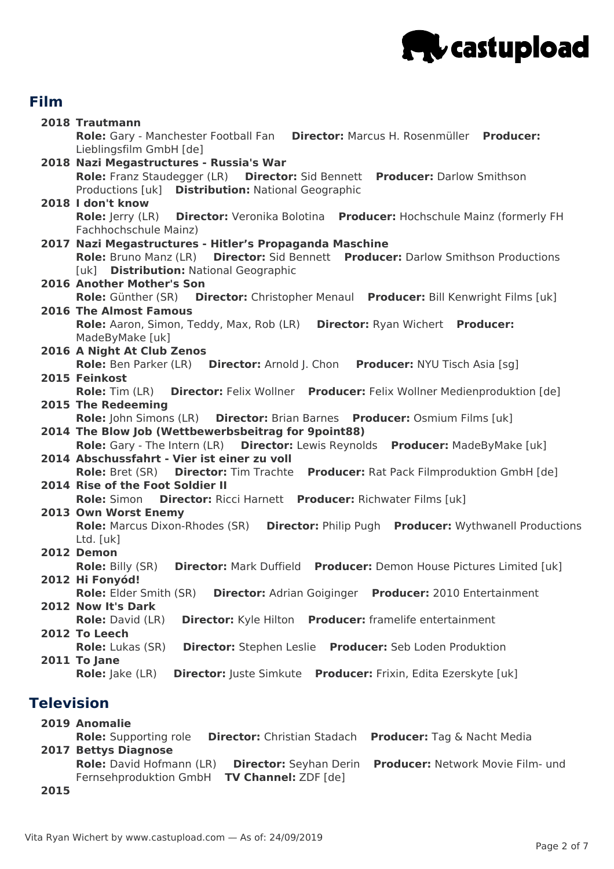

# **Film**

|            | 2018 Trautmann                                                                                                  |  |  |  |
|------------|-----------------------------------------------------------------------------------------------------------------|--|--|--|
|            | Role: Gary - Manchester Football Fan Director: Marcus H. Rosenmüller Producer:                                  |  |  |  |
|            | Lieblingsfilm GmbH [de]                                                                                         |  |  |  |
|            | 2018 Nazi Megastructures - Russia's War                                                                         |  |  |  |
|            | Role: Franz Staudegger (LR)  Director: Sid Bennett  Producer: Darlow Smithson                                   |  |  |  |
|            | Productions [uk] Distribution: National Geographic                                                              |  |  |  |
|            | 2018 I don't know                                                                                               |  |  |  |
|            | Director: Veronika Bolotina Producer: Hochschule Mainz (formerly FH<br><b>Role:</b> Jerry (LR)                  |  |  |  |
|            | Fachhochschule Mainz)                                                                                           |  |  |  |
|            | 2017 Nazi Megastructures - Hitler's Propaganda Maschine                                                         |  |  |  |
|            | Role: Bruno Manz (LR) Director: Sid Bennett Producer: Darlow Smithson Productions                               |  |  |  |
|            | [uk] Distribution: National Geographic                                                                          |  |  |  |
|            | 2016 Another Mother's Son                                                                                       |  |  |  |
|            | Role: Günther (SR) Director: Christopher Menaul Producer: Bill Kenwright Films [uk]                             |  |  |  |
|            | <b>2016 The Almost Famous</b>                                                                                   |  |  |  |
|            | Role: Aaron, Simon, Teddy, Max, Rob (LR)<br><b>Director: Ryan Wichert Producer:</b>                             |  |  |  |
|            | MadeByMake [uk]                                                                                                 |  |  |  |
|            | 2016 A Night At Club Zenos                                                                                      |  |  |  |
|            | <b>Role:</b> Ben Parker (LR) <b>Director:</b> Arnold J. Chon<br><b>Producer: NYU Tisch Asia [sg]</b>            |  |  |  |
|            | 2015 Feinkost                                                                                                   |  |  |  |
|            | Director: Felix Wollner Producer: Felix Wollner Medienproduktion [de]<br><b>Role:</b> Tim (LR)                  |  |  |  |
|            | 2015 The Redeeming                                                                                              |  |  |  |
|            | Role: John Simons (LR)  Director: Brian Barnes  Producer: Osmium Films [uk]                                     |  |  |  |
|            | 2014 The Blow Job (Wettbewerbsbeitrag for 9point88)                                                             |  |  |  |
|            | Role: Gary - The Intern (LR) Director: Lewis Reynolds Producer: MadeByMake [uk]                                 |  |  |  |
|            | 2014 Abschussfahrt - Vier ist einer zu voll                                                                     |  |  |  |
|            | Role: Bret (SR) Director: Tim Trachte Producer: Rat Pack Filmproduktion GmbH [de]                               |  |  |  |
|            | 2014 Rise of the Foot Soldier II                                                                                |  |  |  |
|            | <b>Director:</b> Ricci Harnett Producer: Richwater Films [uk]<br><b>Role:</b> Simon                             |  |  |  |
|            | 2013 Own Worst Enemy                                                                                            |  |  |  |
|            | <b>Role: Marcus Dixon-Rhodes (SR)</b><br><b>Director: Philip Pugh Producer: Wythwanell Productions</b>          |  |  |  |
|            | Ltd. [uk]                                                                                                       |  |  |  |
|            | 2012 Demon                                                                                                      |  |  |  |
|            | <b>Role: Billy (SR)</b><br><b>Director: Mark Duffield</b><br><b>Producer:</b> Demon House Pictures Limited [uk] |  |  |  |
|            | 2012 Hi Fonyód!                                                                                                 |  |  |  |
|            | Role: Elder Smith (SR)<br><b>Director:</b> Adrian Goiginger Producer: 2010 Entertainment                        |  |  |  |
|            | 2012 Now It's Dark                                                                                              |  |  |  |
|            | Producer: framelife entertainment<br><b>Role:</b> David (LR)<br><b>Director:</b> Kyle Hilton                    |  |  |  |
|            | 2012 To Leech<br>Director: Stephen Leslie Producer: Seb Loden Produktion                                        |  |  |  |
|            | <b>Role:</b> Lukas (SR)                                                                                         |  |  |  |
|            | 2011 To Jane<br><b>Director:</b> Juste Simkute Producer: Frixin, Edita Ezerskyte [uk]<br><b>Role:</b> Jake (LR) |  |  |  |
|            |                                                                                                                 |  |  |  |
| Television |                                                                                                                 |  |  |  |
|            |                                                                                                                 |  |  |  |
|            | <b>2019 Anomalie</b>                                                                                            |  |  |  |
|            | <b>Dolor Supporting role Directory Christian Stadach Dreducery Tag S. Nacht Modia</b>                           |  |  |  |

**2017 Bettys Diagnose Role:** Supporting role **Director:** Christian Stadach **Producer:** Tag & Nacht Media **Role:** David Hofmann (LR) **Director:** Seyhan Derin **Producer:** Network Movie Film- und Fernsehproduktion GmbH **TV Channel:** ZDF [de]

**2015**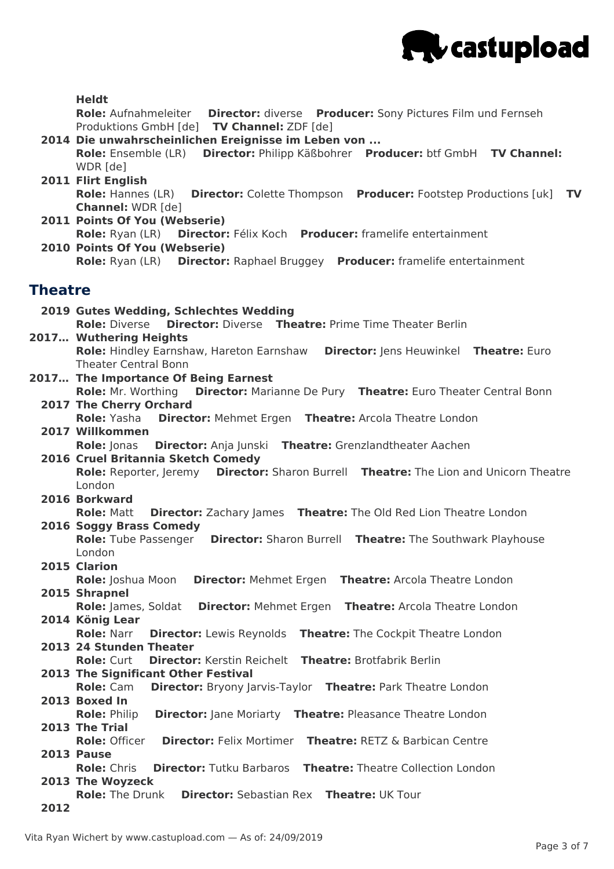

| <b>Heldt</b><br>Role: Aufnahmeleiter Director: diverse Producer: Sony Pictures Film und Fernseh<br>Produktions GmbH [de] TV Channel: ZDF [de]<br>2014 Die unwahrscheinlichen Ereignisse im Leben von<br>Role: Ensemble (LR) Director: Philipp Käßbohrer Producer: btf GmbH TV Channel:<br>WDR [de]<br>2011 Flirt English<br>Role: Hannes (LR) Director: Colette Thompson Producer: Footstep Productions [uk] TV<br><b>Channel: WDR [de]</b><br>2011 Points Of You (Webserie)<br>Role: Ryan (LR) Director: Félix Koch Producer: framelife entertainment<br>2010 Points Of You (Webserie)<br>Role: Ryan (LR) Director: Raphael Bruggey Producer: framelife entertainment<br>Theatre<br>2019 Gutes Wedding, Schlechtes Wedding<br><b>Director: Diverse</b> Theatre: Prime Time Theater Berlin<br><b>Role: Diverse</b><br>2017 Wuthering Heights<br>Role: Hindley Earnshaw, Hareton Earnshaw Director: Jens Heuwinkel Theatre: Euro<br><b>Theater Central Bonn</b><br>2017 The Importance Of Being Earnest<br>Role: Mr. Worthing Director: Marianne De Pury Theatre: Euro Theater Central Bonn<br>2017 The Cherry Orchard<br><b>Director:</b> Mehmet Ergen Theatre: Arcola Theatre London<br><b>Role:</b> Yasha<br>2017 Willkommen<br><b>Director:</b> Anja Junski Theatre: Grenzlandtheater Aachen<br><b>Role: Jonas</b><br>2016 Cruel Britannia Sketch Comedy<br>Role: Reporter, Jeremy Director: Sharon Burrell Theatre: The Lion and Unicorn Theatre<br>London<br>2016 Borkward<br><b>Director:</b> Zachary James <b>Theatre:</b> The Old Red Lion Theatre London<br><b>Role: Matt</b><br>2016 Soggy Brass Comedy<br>Role: Tube Passenger Director: Sharon Burrell Theatre: The Southwark Playhouse<br>London<br>2015 Clarion<br>Role: Joshua Moon<br><b>Director: Mehmet Ergen</b><br><b>Theatre: Arcola Theatre London</b><br>2015 Shrapnel<br>Role: James, Soldat<br><b>Theatre: Arcola Theatre London</b><br><b>Director: Mehmet Ergen</b><br>2014 König Lear |  |
|-------------------------------------------------------------------------------------------------------------------------------------------------------------------------------------------------------------------------------------------------------------------------------------------------------------------------------------------------------------------------------------------------------------------------------------------------------------------------------------------------------------------------------------------------------------------------------------------------------------------------------------------------------------------------------------------------------------------------------------------------------------------------------------------------------------------------------------------------------------------------------------------------------------------------------------------------------------------------------------------------------------------------------------------------------------------------------------------------------------------------------------------------------------------------------------------------------------------------------------------------------------------------------------------------------------------------------------------------------------------------------------------------------------------------------------------------------------------------------------------------------------------------------------------------------------------------------------------------------------------------------------------------------------------------------------------------------------------------------------------------------------------------------------------------------------------------------------------------------------------------------------------------------------------------------------------------------------------|--|
|                                                                                                                                                                                                                                                                                                                                                                                                                                                                                                                                                                                                                                                                                                                                                                                                                                                                                                                                                                                                                                                                                                                                                                                                                                                                                                                                                                                                                                                                                                                                                                                                                                                                                                                                                                                                                                                                                                                                                                   |  |
|                                                                                                                                                                                                                                                                                                                                                                                                                                                                                                                                                                                                                                                                                                                                                                                                                                                                                                                                                                                                                                                                                                                                                                                                                                                                                                                                                                                                                                                                                                                                                                                                                                                                                                                                                                                                                                                                                                                                                                   |  |
|                                                                                                                                                                                                                                                                                                                                                                                                                                                                                                                                                                                                                                                                                                                                                                                                                                                                                                                                                                                                                                                                                                                                                                                                                                                                                                                                                                                                                                                                                                                                                                                                                                                                                                                                                                                                                                                                                                                                                                   |  |
|                                                                                                                                                                                                                                                                                                                                                                                                                                                                                                                                                                                                                                                                                                                                                                                                                                                                                                                                                                                                                                                                                                                                                                                                                                                                                                                                                                                                                                                                                                                                                                                                                                                                                                                                                                                                                                                                                                                                                                   |  |
|                                                                                                                                                                                                                                                                                                                                                                                                                                                                                                                                                                                                                                                                                                                                                                                                                                                                                                                                                                                                                                                                                                                                                                                                                                                                                                                                                                                                                                                                                                                                                                                                                                                                                                                                                                                                                                                                                                                                                                   |  |
|                                                                                                                                                                                                                                                                                                                                                                                                                                                                                                                                                                                                                                                                                                                                                                                                                                                                                                                                                                                                                                                                                                                                                                                                                                                                                                                                                                                                                                                                                                                                                                                                                                                                                                                                                                                                                                                                                                                                                                   |  |
|                                                                                                                                                                                                                                                                                                                                                                                                                                                                                                                                                                                                                                                                                                                                                                                                                                                                                                                                                                                                                                                                                                                                                                                                                                                                                                                                                                                                                                                                                                                                                                                                                                                                                                                                                                                                                                                                                                                                                                   |  |
|                                                                                                                                                                                                                                                                                                                                                                                                                                                                                                                                                                                                                                                                                                                                                                                                                                                                                                                                                                                                                                                                                                                                                                                                                                                                                                                                                                                                                                                                                                                                                                                                                                                                                                                                                                                                                                                                                                                                                                   |  |
|                                                                                                                                                                                                                                                                                                                                                                                                                                                                                                                                                                                                                                                                                                                                                                                                                                                                                                                                                                                                                                                                                                                                                                                                                                                                                                                                                                                                                                                                                                                                                                                                                                                                                                                                                                                                                                                                                                                                                                   |  |
|                                                                                                                                                                                                                                                                                                                                                                                                                                                                                                                                                                                                                                                                                                                                                                                                                                                                                                                                                                                                                                                                                                                                                                                                                                                                                                                                                                                                                                                                                                                                                                                                                                                                                                                                                                                                                                                                                                                                                                   |  |
|                                                                                                                                                                                                                                                                                                                                                                                                                                                                                                                                                                                                                                                                                                                                                                                                                                                                                                                                                                                                                                                                                                                                                                                                                                                                                                                                                                                                                                                                                                                                                                                                                                                                                                                                                                                                                                                                                                                                                                   |  |
|                                                                                                                                                                                                                                                                                                                                                                                                                                                                                                                                                                                                                                                                                                                                                                                                                                                                                                                                                                                                                                                                                                                                                                                                                                                                                                                                                                                                                                                                                                                                                                                                                                                                                                                                                                                                                                                                                                                                                                   |  |
|                                                                                                                                                                                                                                                                                                                                                                                                                                                                                                                                                                                                                                                                                                                                                                                                                                                                                                                                                                                                                                                                                                                                                                                                                                                                                                                                                                                                                                                                                                                                                                                                                                                                                                                                                                                                                                                                                                                                                                   |  |
|                                                                                                                                                                                                                                                                                                                                                                                                                                                                                                                                                                                                                                                                                                                                                                                                                                                                                                                                                                                                                                                                                                                                                                                                                                                                                                                                                                                                                                                                                                                                                                                                                                                                                                                                                                                                                                                                                                                                                                   |  |
|                                                                                                                                                                                                                                                                                                                                                                                                                                                                                                                                                                                                                                                                                                                                                                                                                                                                                                                                                                                                                                                                                                                                                                                                                                                                                                                                                                                                                                                                                                                                                                                                                                                                                                                                                                                                                                                                                                                                                                   |  |
|                                                                                                                                                                                                                                                                                                                                                                                                                                                                                                                                                                                                                                                                                                                                                                                                                                                                                                                                                                                                                                                                                                                                                                                                                                                                                                                                                                                                                                                                                                                                                                                                                                                                                                                                                                                                                                                                                                                                                                   |  |
|                                                                                                                                                                                                                                                                                                                                                                                                                                                                                                                                                                                                                                                                                                                                                                                                                                                                                                                                                                                                                                                                                                                                                                                                                                                                                                                                                                                                                                                                                                                                                                                                                                                                                                                                                                                                                                                                                                                                                                   |  |
|                                                                                                                                                                                                                                                                                                                                                                                                                                                                                                                                                                                                                                                                                                                                                                                                                                                                                                                                                                                                                                                                                                                                                                                                                                                                                                                                                                                                                                                                                                                                                                                                                                                                                                                                                                                                                                                                                                                                                                   |  |
|                                                                                                                                                                                                                                                                                                                                                                                                                                                                                                                                                                                                                                                                                                                                                                                                                                                                                                                                                                                                                                                                                                                                                                                                                                                                                                                                                                                                                                                                                                                                                                                                                                                                                                                                                                                                                                                                                                                                                                   |  |
|                                                                                                                                                                                                                                                                                                                                                                                                                                                                                                                                                                                                                                                                                                                                                                                                                                                                                                                                                                                                                                                                                                                                                                                                                                                                                                                                                                                                                                                                                                                                                                                                                                                                                                                                                                                                                                                                                                                                                                   |  |
|                                                                                                                                                                                                                                                                                                                                                                                                                                                                                                                                                                                                                                                                                                                                                                                                                                                                                                                                                                                                                                                                                                                                                                                                                                                                                                                                                                                                                                                                                                                                                                                                                                                                                                                                                                                                                                                                                                                                                                   |  |
|                                                                                                                                                                                                                                                                                                                                                                                                                                                                                                                                                                                                                                                                                                                                                                                                                                                                                                                                                                                                                                                                                                                                                                                                                                                                                                                                                                                                                                                                                                                                                                                                                                                                                                                                                                                                                                                                                                                                                                   |  |
|                                                                                                                                                                                                                                                                                                                                                                                                                                                                                                                                                                                                                                                                                                                                                                                                                                                                                                                                                                                                                                                                                                                                                                                                                                                                                                                                                                                                                                                                                                                                                                                                                                                                                                                                                                                                                                                                                                                                                                   |  |
|                                                                                                                                                                                                                                                                                                                                                                                                                                                                                                                                                                                                                                                                                                                                                                                                                                                                                                                                                                                                                                                                                                                                                                                                                                                                                                                                                                                                                                                                                                                                                                                                                                                                                                                                                                                                                                                                                                                                                                   |  |
|                                                                                                                                                                                                                                                                                                                                                                                                                                                                                                                                                                                                                                                                                                                                                                                                                                                                                                                                                                                                                                                                                                                                                                                                                                                                                                                                                                                                                                                                                                                                                                                                                                                                                                                                                                                                                                                                                                                                                                   |  |
|                                                                                                                                                                                                                                                                                                                                                                                                                                                                                                                                                                                                                                                                                                                                                                                                                                                                                                                                                                                                                                                                                                                                                                                                                                                                                                                                                                                                                                                                                                                                                                                                                                                                                                                                                                                                                                                                                                                                                                   |  |
|                                                                                                                                                                                                                                                                                                                                                                                                                                                                                                                                                                                                                                                                                                                                                                                                                                                                                                                                                                                                                                                                                                                                                                                                                                                                                                                                                                                                                                                                                                                                                                                                                                                                                                                                                                                                                                                                                                                                                                   |  |
|                                                                                                                                                                                                                                                                                                                                                                                                                                                                                                                                                                                                                                                                                                                                                                                                                                                                                                                                                                                                                                                                                                                                                                                                                                                                                                                                                                                                                                                                                                                                                                                                                                                                                                                                                                                                                                                                                                                                                                   |  |
|                                                                                                                                                                                                                                                                                                                                                                                                                                                                                                                                                                                                                                                                                                                                                                                                                                                                                                                                                                                                                                                                                                                                                                                                                                                                                                                                                                                                                                                                                                                                                                                                                                                                                                                                                                                                                                                                                                                                                                   |  |
|                                                                                                                                                                                                                                                                                                                                                                                                                                                                                                                                                                                                                                                                                                                                                                                                                                                                                                                                                                                                                                                                                                                                                                                                                                                                                                                                                                                                                                                                                                                                                                                                                                                                                                                                                                                                                                                                                                                                                                   |  |
|                                                                                                                                                                                                                                                                                                                                                                                                                                                                                                                                                                                                                                                                                                                                                                                                                                                                                                                                                                                                                                                                                                                                                                                                                                                                                                                                                                                                                                                                                                                                                                                                                                                                                                                                                                                                                                                                                                                                                                   |  |
|                                                                                                                                                                                                                                                                                                                                                                                                                                                                                                                                                                                                                                                                                                                                                                                                                                                                                                                                                                                                                                                                                                                                                                                                                                                                                                                                                                                                                                                                                                                                                                                                                                                                                                                                                                                                                                                                                                                                                                   |  |
|                                                                                                                                                                                                                                                                                                                                                                                                                                                                                                                                                                                                                                                                                                                                                                                                                                                                                                                                                                                                                                                                                                                                                                                                                                                                                                                                                                                                                                                                                                                                                                                                                                                                                                                                                                                                                                                                                                                                                                   |  |
|                                                                                                                                                                                                                                                                                                                                                                                                                                                                                                                                                                                                                                                                                                                                                                                                                                                                                                                                                                                                                                                                                                                                                                                                                                                                                                                                                                                                                                                                                                                                                                                                                                                                                                                                                                                                                                                                                                                                                                   |  |
|                                                                                                                                                                                                                                                                                                                                                                                                                                                                                                                                                                                                                                                                                                                                                                                                                                                                                                                                                                                                                                                                                                                                                                                                                                                                                                                                                                                                                                                                                                                                                                                                                                                                                                                                                                                                                                                                                                                                                                   |  |
|                                                                                                                                                                                                                                                                                                                                                                                                                                                                                                                                                                                                                                                                                                                                                                                                                                                                                                                                                                                                                                                                                                                                                                                                                                                                                                                                                                                                                                                                                                                                                                                                                                                                                                                                                                                                                                                                                                                                                                   |  |
| <b>Role: Narr</b><br><b>Director:</b> Lewis Reynolds <b>Theatre:</b> The Cockpit Theatre London                                                                                                                                                                                                                                                                                                                                                                                                                                                                                                                                                                                                                                                                                                                                                                                                                                                                                                                                                                                                                                                                                                                                                                                                                                                                                                                                                                                                                                                                                                                                                                                                                                                                                                                                                                                                                                                                   |  |
| 2013 24 Stunden Theater                                                                                                                                                                                                                                                                                                                                                                                                                                                                                                                                                                                                                                                                                                                                                                                                                                                                                                                                                                                                                                                                                                                                                                                                                                                                                                                                                                                                                                                                                                                                                                                                                                                                                                                                                                                                                                                                                                                                           |  |
| <b>Theatre: Brotfabrik Berlin</b><br><b>Role: Curt</b><br><b>Director:</b> Kerstin Reichelt                                                                                                                                                                                                                                                                                                                                                                                                                                                                                                                                                                                                                                                                                                                                                                                                                                                                                                                                                                                                                                                                                                                                                                                                                                                                                                                                                                                                                                                                                                                                                                                                                                                                                                                                                                                                                                                                       |  |
| 2013 The Significant Other Festival                                                                                                                                                                                                                                                                                                                                                                                                                                                                                                                                                                                                                                                                                                                                                                                                                                                                                                                                                                                                                                                                                                                                                                                                                                                                                                                                                                                                                                                                                                                                                                                                                                                                                                                                                                                                                                                                                                                               |  |
| <b>Role: Cam</b><br><b>Director:</b> Bryony Jarvis-Taylor Theatre: Park Theatre London                                                                                                                                                                                                                                                                                                                                                                                                                                                                                                                                                                                                                                                                                                                                                                                                                                                                                                                                                                                                                                                                                                                                                                                                                                                                                                                                                                                                                                                                                                                                                                                                                                                                                                                                                                                                                                                                            |  |
| 2013 Boxed In                                                                                                                                                                                                                                                                                                                                                                                                                                                                                                                                                                                                                                                                                                                                                                                                                                                                                                                                                                                                                                                                                                                                                                                                                                                                                                                                                                                                                                                                                                                                                                                                                                                                                                                                                                                                                                                                                                                                                     |  |
| <b>Director:</b> Jane Moriarty Theatre: Pleasance Theatre London<br><b>Role: Philip</b>                                                                                                                                                                                                                                                                                                                                                                                                                                                                                                                                                                                                                                                                                                                                                                                                                                                                                                                                                                                                                                                                                                                                                                                                                                                                                                                                                                                                                                                                                                                                                                                                                                                                                                                                                                                                                                                                           |  |
| 2013 The Trial                                                                                                                                                                                                                                                                                                                                                                                                                                                                                                                                                                                                                                                                                                                                                                                                                                                                                                                                                                                                                                                                                                                                                                                                                                                                                                                                                                                                                                                                                                                                                                                                                                                                                                                                                                                                                                                                                                                                                    |  |
| <b>Role: Officer</b><br><b>Director: Felix Mortimer</b><br><b>Theatre: RETZ &amp; Barbican Centre</b>                                                                                                                                                                                                                                                                                                                                                                                                                                                                                                                                                                                                                                                                                                                                                                                                                                                                                                                                                                                                                                                                                                                                                                                                                                                                                                                                                                                                                                                                                                                                                                                                                                                                                                                                                                                                                                                             |  |
| 2013 Pause                                                                                                                                                                                                                                                                                                                                                                                                                                                                                                                                                                                                                                                                                                                                                                                                                                                                                                                                                                                                                                                                                                                                                                                                                                                                                                                                                                                                                                                                                                                                                                                                                                                                                                                                                                                                                                                                                                                                                        |  |
|                                                                                                                                                                                                                                                                                                                                                                                                                                                                                                                                                                                                                                                                                                                                                                                                                                                                                                                                                                                                                                                                                                                                                                                                                                                                                                                                                                                                                                                                                                                                                                                                                                                                                                                                                                                                                                                                                                                                                                   |  |
| <b>Role: Chris</b><br><b>Director:</b> Tutku Barbaros <b>Theatre:</b> Theatre Collection London                                                                                                                                                                                                                                                                                                                                                                                                                                                                                                                                                                                                                                                                                                                                                                                                                                                                                                                                                                                                                                                                                                                                                                                                                                                                                                                                                                                                                                                                                                                                                                                                                                                                                                                                                                                                                                                                   |  |
| 2013 The Woyzeck<br><b>Role: The Drunk</b><br><b>Director:</b> Sebastian Rex <b>Theatre:</b> UK Tour                                                                                                                                                                                                                                                                                                                                                                                                                                                                                                                                                                                                                                                                                                                                                                                                                                                                                                                                                                                                                                                                                                                                                                                                                                                                                                                                                                                                                                                                                                                                                                                                                                                                                                                                                                                                                                                              |  |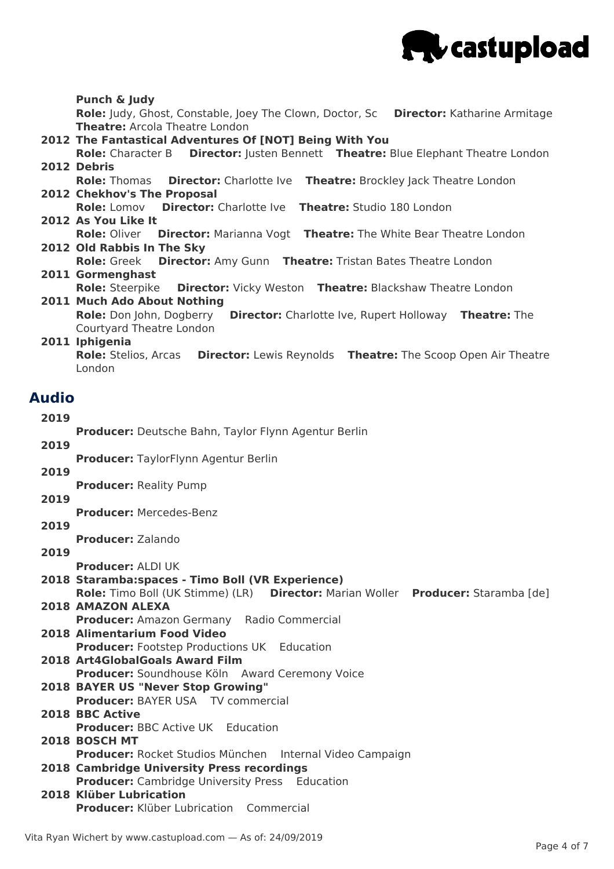

#### **2012 The Fantastical Adventures Of [NOT] Being With You 2012 Debris 2012 Chekhov's The Proposal 2012 As You Like It 2012 Old Rabbis In The Sky 2011 Gormenghast 2011 Much Ado About Nothing 2011 Iphigenia 2019 2019 2019 2019 2019 2019 2018 Staramba:spaces - Timo Boll (VR Experience) 2018 AMAZON ALEXA 2018 Alimentarium Food Video 2018 Art4GlobalGoals Award Film 2018 BAYER US "Never Stop Growing" 2018 BBC Active 2018 BOSCH MT 2018 Cambridge University Press recordings 2018 Klüber Lubrication Punch & Judy Role:** Judy, Ghost, Constable, Joey The Clown, Doctor, Sc **Director:** Katharine Armitage **Theatre:** Arcola Theatre London **Role:** Character B **Director:** Justen Bennett **Theatre:** Blue Elephant Theatre London **Role:** Thomas **Director:** Charlotte Ive **Theatre:** Brockley Jack Theatre London **Role:** Lomov **Director:** Charlotte Ive **Theatre:** Studio 180 London **Role:** Oliver **Director:** Marianna Vogt **Theatre:** The White Bear Theatre London **Role:** Greek **Director:** Amy Gunn **Theatre:** Tristan Bates Theatre London **Role:** Steerpike **Director:** Vicky Weston **Theatre:** Blackshaw Theatre London **Role:** Don John, Dogberry **Director:** Charlotte Ive, Rupert Holloway **Theatre:** The Courtyard Theatre London **Role:** Stelios, Arcas **Director:** Lewis Reynolds **Theatre:** The Scoop Open Air Theatre London **Audio Producer:** Deutsche Bahn, Taylor Flynn Agentur Berlin **Producer:** TaylorFlynn Agentur Berlin **Producer:** Reality Pump **Producer:** Mercedes-Benz **Producer:** Zalando **Producer:** ALDI UK **Role:** Timo Boll (UK Stimme) (LR) **Director:** Marian Woller **Producer:** Staramba [de] **Producer:** Amazon Germany Radio Commercial **Producer:** Footstep Productions UK Education **Producer:** Soundhouse Köln Award Ceremony Voice **Producer:** BAYER USA TV commercial **Producer: BBC Active UK Education Producer:** Rocket Studios München Internal Video Campaign **Producer:** Cambridge University Press Education **Producer:** Klüber Lubrication Commercial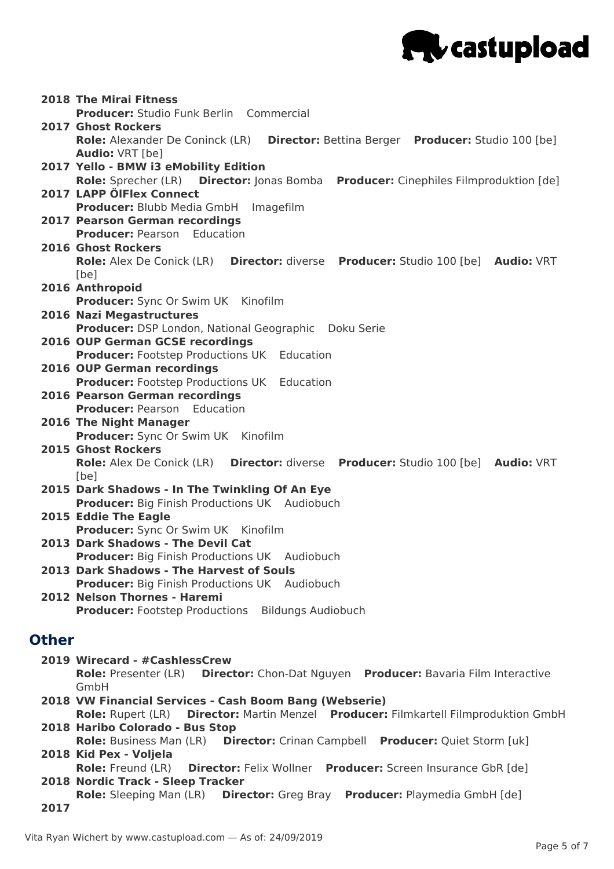

|              | <b>2018 The Mirai Fitness</b>                                                                  |
|--------------|------------------------------------------------------------------------------------------------|
|              | Producer: Studio Funk Berlin Commercial                                                        |
|              | <b>2017 Ghost Rockers</b>                                                                      |
|              | <b>Role:</b> Alexander De Coninck (LR)<br>Director: Bettina Berger Producer: Studio 100 [be]   |
|              | <b>Audio: VRT [be]</b>                                                                         |
|              | 2017 Yello - BMW i3 eMobility Edition                                                          |
|              | Role: Sprecher (LR) Director: Jonas Bomba Producer: Cinephiles Filmproduktion [de]             |
|              | 2017 LAPP ÖlFlex Connect                                                                       |
|              | Producer: Blubb Media GmbH Imagefilm                                                           |
|              | <b>2017 Pearson German recordings</b>                                                          |
|              | <b>Producer: Pearson Education</b>                                                             |
|              | <b>2016 Ghost Rockers</b>                                                                      |
|              | Role: Alex De Conick (LR) Director: diverse Producer: Studio 100 [be] Audio: VRT               |
|              | [be]                                                                                           |
|              | 2016 Anthropoid                                                                                |
|              |                                                                                                |
|              | <b>Producer:</b> Sync Or Swim UK Kinofilm                                                      |
|              | 2016 Nazi Megastructures                                                                       |
|              | Producer: DSP London, National Geographic Doku Serie                                           |
|              | 2016 OUP German GCSE recordings                                                                |
|              | <b>Producer:</b> Footstep Productions UK Education                                             |
|              | <b>2016 OUP German recordings</b>                                                              |
|              | <b>Producer:</b> Footstep Productions UK Education                                             |
|              | 2016 Pearson German recordings                                                                 |
|              | <b>Producer: Pearson Education</b>                                                             |
|              | 2016 The Night Manager                                                                         |
|              | Producer: Sync Or Swim UK Kinofilm                                                             |
|              | <b>2015 Ghost Rockers</b>                                                                      |
|              | Role: Alex De Conick (LR) Director: diverse Producer: Studio 100 [be] Audio: VRT               |
|              | [be]                                                                                           |
|              | 2015 Dark Shadows - In The Twinkling Of An Eye                                                 |
|              | <b>Producer:</b> Big Finish Productions UK Audiobuch                                           |
|              | 2015 Eddie The Eagle                                                                           |
|              | Producer: Sync Or Swim UK Kinofilm                                                             |
|              | 2013 Dark Shadows - The Devil Cat                                                              |
|              | <b>Producer:</b> Big Finish Productions UK Audiobuch                                           |
|              | 2013 Dark Shadows - The Harvest of Souls                                                       |
|              | <b>Producer: Big Finish Productions UK Audiobuch</b>                                           |
|              | 2012 Nelson Thornes - Haremi                                                                   |
|              | <b>Producer:</b> Footstep Productions Bildungs Audiobuch                                       |
|              |                                                                                                |
| <b>Other</b> |                                                                                                |
|              | 2019 Wirecard - #CashlessCrew                                                                  |
|              | Role: Presenter (LR) Director: Chon-Dat Nguyen Producer: Bavaria Film Interactive              |
|              | GmbH                                                                                           |
|              | 2018 VW Financial Services - Cash Boom Bang (Webserie)                                         |
|              | Role: Rupert (LR) Director: Martin Menzel Producer: Filmkartell Filmproduktion GmbH            |
|              | 2018 Haribo Colorado - Bus Stop                                                                |
|              | Role: Business Man (LR)  Director: Crinan Campbell  Producer: Quiet Storm [uk]                 |
|              | 2018 Kid Pex - Voljela                                                                         |
|              | <b>Director:</b> Felix Wollner Producer: Screen Insurance GbR [de]<br><b>Role:</b> Freund (LR) |
|              |                                                                                                |
|              | 2018 Nordic Track - Sleep Tracker                                                              |
| 2017         | Role: Sleeping Man (LR)  Director: Greg Bray  Producer: Playmedia GmbH [de]                    |
|              |                                                                                                |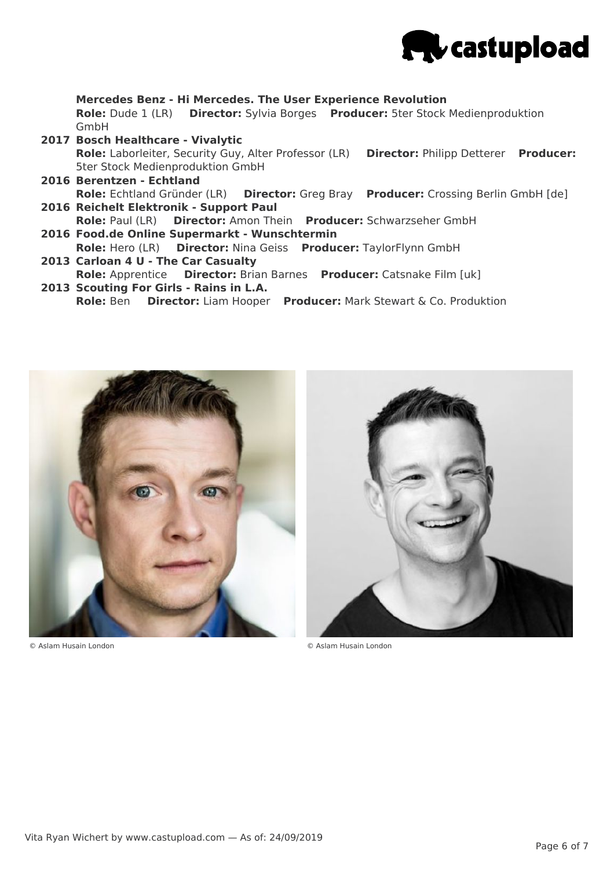

**Mercedes Benz - Hi Mercedes. The User Experience Revolution Role:** Dude 1 (LR) **Director:** Sylvia Borges **Producer:** 5ter Stock Medienproduktion GmbH

- **2017 Bosch Healthcare - Vivalytic Role:** Laborleiter, Security Guy, Alter Professor (LR) **Director:** Philipp Detterer **Producer:** 5ter Stock Medienproduktion GmbH
- **2016 Berentzen - Echtland 2016 Reichelt Elektronik - Support Paul Role:** Echtland Gründer (LR) **Director:** Greg Bray **Producer:** Crossing Berlin GmbH [de]
- **2016 Food.de Online Supermarkt - Wunschtermin Role:** Paul (LR) **Director:** Amon Thein **Producer:** Schwarzseher GmbH
- **2013 Carloan 4 U - The Car Casualty Role:** Hero (LR) **Director:** Nina Geiss **Producer:** TaylorFlynn GmbH
- **2013 Scouting For Girls - Rains in L.A. Role:** Apprentice **Director:** Brian Barnes **Producer:** Catsnake Film [uk]
	- **Role:** Ben **Director:** Liam Hooper **Producer:** Mark Stewart & Co. Produktion



© Aslam Husain London © Aslam Husain London